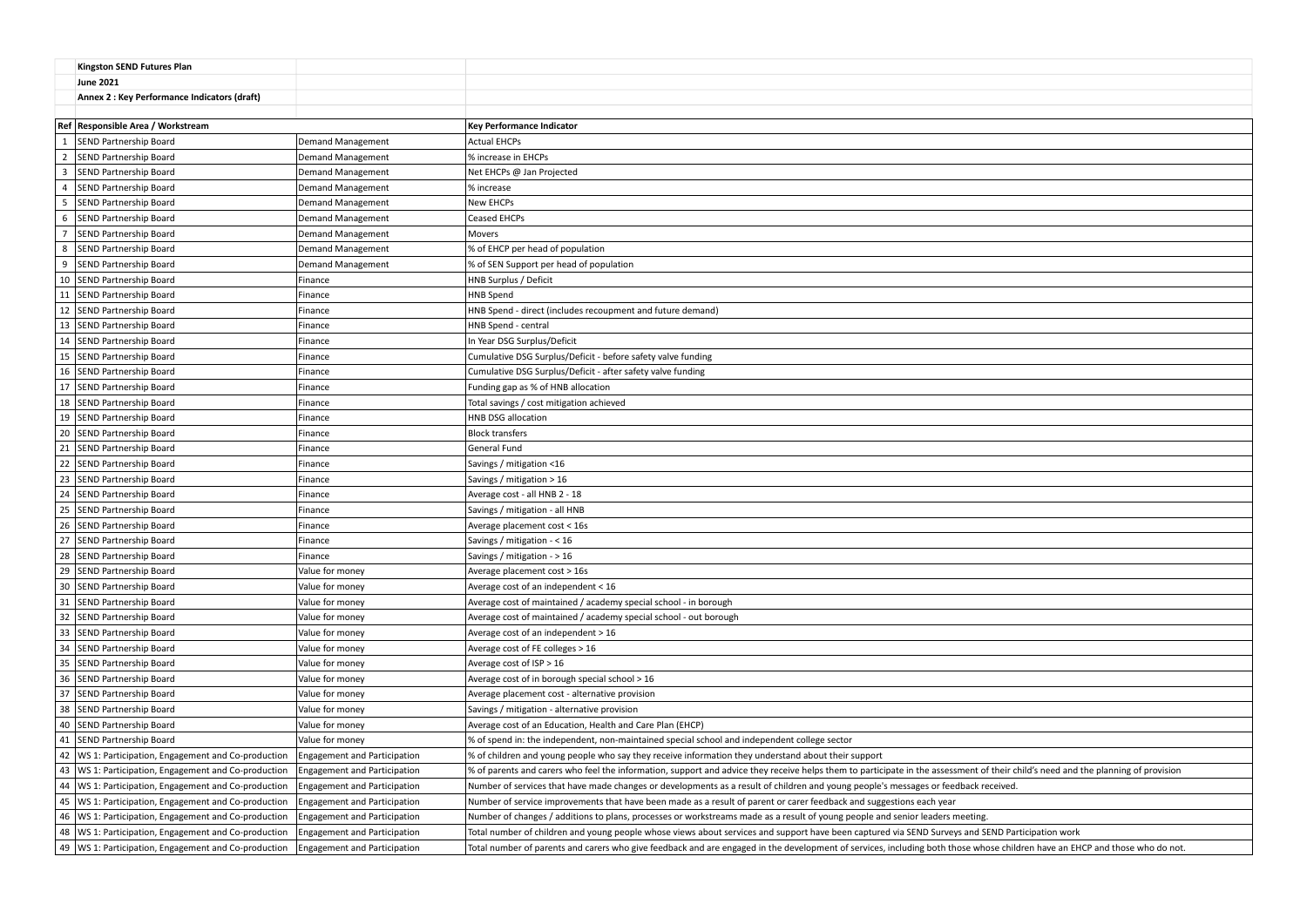|                | <b>Kingston SEND Futures Plan</b>                      |                                     |                                                                                                                                                                                   |  |
|----------------|--------------------------------------------------------|-------------------------------------|-----------------------------------------------------------------------------------------------------------------------------------------------------------------------------------|--|
|                | <b>June 2021</b>                                       |                                     |                                                                                                                                                                                   |  |
|                | Annex 2 : Key Performance Indicators (draft)           |                                     |                                                                                                                                                                                   |  |
|                |                                                        |                                     |                                                                                                                                                                                   |  |
|                | Ref Responsible Area / Workstream                      |                                     | <b>Key Performance Indicator</b>                                                                                                                                                  |  |
|                | SEND Partnership Board                                 | <b>Demand Management</b>            | <b>Actual EHCPs</b>                                                                                                                                                               |  |
| $\overline{2}$ | SEND Partnership Board                                 | <b>Demand Management</b>            | % increase in EHCPs                                                                                                                                                               |  |
| 3              | SEND Partnership Board                                 | <b>Demand Management</b>            | Net EHCPs @ Jan Projected                                                                                                                                                         |  |
| $\overline{4}$ | SEND Partnership Board                                 | <b>Demand Management</b>            | % increase                                                                                                                                                                        |  |
| 5              | SEND Partnership Board                                 | <b>Demand Management</b>            | New EHCPs                                                                                                                                                                         |  |
| 6              | SEND Partnership Board                                 | <b>Demand Management</b>            | <b>Ceased EHCPs</b>                                                                                                                                                               |  |
| $\overline{7}$ | <b>SEND Partnership Board</b>                          | <b>Demand Management</b>            | <b>Movers</b>                                                                                                                                                                     |  |
| 8              | SEND Partnership Board                                 | <b>Demand Management</b>            | % of EHCP per head of population                                                                                                                                                  |  |
| 9              | SEND Partnership Board                                 | <b>Demand Management</b>            | % of SEN Support per head of population                                                                                                                                           |  |
|                | 10 SEND Partnership Board                              | Finance                             | HNB Surplus / Deficit                                                                                                                                                             |  |
|                | 11 SEND Partnership Board                              | Finance                             | <b>HNB Spend</b>                                                                                                                                                                  |  |
|                | 12   SEND Partnership Board                            | Finance                             | HNB Spend - direct (includes recoupment and future demand)                                                                                                                        |  |
|                | 13 SEND Partnership Board                              | Finance                             | HNB Spend - central                                                                                                                                                               |  |
|                | 14   SEND Partnership Board                            | Finance                             | In Year DSG Surplus/Deficit                                                                                                                                                       |  |
|                | 15   SEND Partnership Board                            | Finance                             | Cumulative DSG Surplus/Deficit - before safety valve funding                                                                                                                      |  |
|                | 16 SEND Partnership Board                              | Finance                             | Cumulative DSG Surplus/Deficit - after safety valve funding                                                                                                                       |  |
|                | 17 SEND Partnership Board                              | Finance                             | Funding gap as % of HNB allocation                                                                                                                                                |  |
|                | 18   SEND Partnership Board                            | Finance                             | Total savings / cost mitigation achieved                                                                                                                                          |  |
|                | 19 SEND Partnership Board                              | Finance                             | HNB DSG allocation                                                                                                                                                                |  |
|                | 20 SEND Partnership Board                              | Finance                             | <b>Block transfers</b>                                                                                                                                                            |  |
|                | 21 SEND Partnership Board                              | Finance                             | General Fund                                                                                                                                                                      |  |
|                | 22 SEND Partnership Board                              | Finance                             | Savings / mitigation <16                                                                                                                                                          |  |
|                | 23 SEND Partnership Board                              | Finance                             | Savings / mitigation > 16                                                                                                                                                         |  |
|                | 24 SEND Partnership Board                              | Finance                             | Average cost - all HNB 2 - 18                                                                                                                                                     |  |
|                | 25   SEND Partnership Board                            | Finance                             | Savings / mitigation - all HNB                                                                                                                                                    |  |
|                | 26   SEND Partnership Board                            | Finance                             | Average placement cost < 16s                                                                                                                                                      |  |
|                | 27 SEND Partnership Board                              | Finance                             | Savings / mitigation - < 16                                                                                                                                                       |  |
|                | 28   SEND Partnership Board                            | Finance                             | Savings / mitigation $-$ > 16                                                                                                                                                     |  |
|                | 29 SEND Partnership Board                              | Value for money                     | Average placement cost > 16s                                                                                                                                                      |  |
|                | 30 SEND Partnership Board                              | Value for money                     | Average cost of an independent < 16                                                                                                                                               |  |
|                | 31 SEND Partnership Board                              | Value for money                     | Average cost of maintained / academy special school - in borough                                                                                                                  |  |
|                | 32 SEND Partnership Board                              | Value for money                     | Average cost of maintained / academy special school - out borough                                                                                                                 |  |
|                | 33 SEND Partnership Board                              | Value for money                     | Average cost of an independent > 16                                                                                                                                               |  |
|                | 34 SEND Partnership Board                              | Value for money                     | Average cost of FE colleges > 16                                                                                                                                                  |  |
|                | 35   SEND Partnership Board                            | Value for money                     | Average cost of $ISP > 16$                                                                                                                                                        |  |
|                | 36   SEND Partnership Board                            | Value for money                     | Average cost of in borough special school > 16                                                                                                                                    |  |
|                | 37 SEND Partnership Board                              | Value for money                     | Average placement cost - alternative provision                                                                                                                                    |  |
|                | 38   SEND Partnership Board                            | Value for money                     | Savings / mitigation - alternative provision                                                                                                                                      |  |
|                | 40   SEND Partnership Board                            | Value for money                     | Average cost of an Education, Health and Care Plan (EHCP)                                                                                                                         |  |
|                | 41   SEND Partnership Board                            | Value for money                     | % of spend in: the independent, non-maintained special school and independent college sector                                                                                      |  |
|                | 42   WS 1: Participation, Engagement and Co-production | <b>Engagement and Participation</b> | % of children and young people who say they receive information they understand about their support                                                                               |  |
|                | 43   WS 1: Participation, Engagement and Co-production | <b>Engagement and Participation</b> | % of parents and carers who feel the information, support and advice they receive helps them to participate in the assessment of their child's need and the planning of provision |  |
|                | 44   WS 1: Participation, Engagement and Co-production | <b>Engagement and Participation</b> | Number of services that have made changes or developments as a result of children and young people's messages or feedback received.                                               |  |
|                | 45   WS 1: Participation, Engagement and Co-production | <b>Engagement and Participation</b> | Number of service improvements that have been made as a result of parent or carer feedback and suggestions each year                                                              |  |
|                | 46   WS 1: Participation, Engagement and Co-production | <b>Engagement and Participation</b> | Number of changes / additions to plans, processes or workstreams made as a result of young people and senior leaders meeting.                                                     |  |
|                | 48   WS 1: Participation, Engagement and Co-production | <b>Engagement and Participation</b> | Total number of children and young people whose views about services and support have been captured via SEND Surveys and SEND Participation work                                  |  |
|                | 49   WS 1: Participation, Engagement and Co-production | <b>Engagement and Participation</b> | Total number of parents and carers who give feedback and are engaged in the development of services, including both those whose children have an EHCP and those who do not.       |  |

| f their child's need and the planning of provision |
|----------------------------------------------------|
| eceived.                                           |
|                                                    |
|                                                    |
| <b>END Participation work</b>                      |
|                                                    |
| ose children have an EHCP and those who do not.    |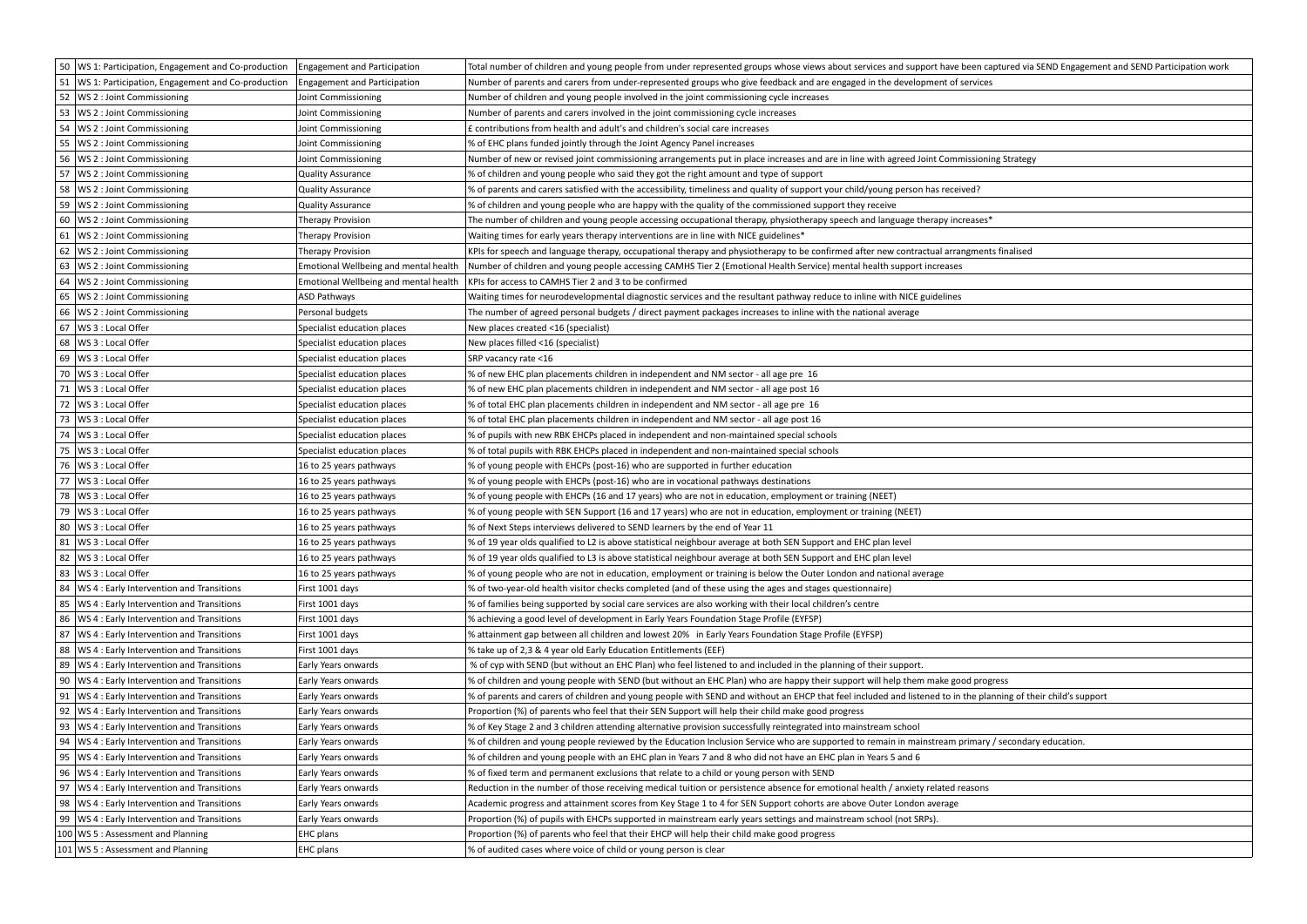| 50 WS 1: Participation, Engagement and Co-production   | <b>Engagement and Participation</b>   | Total number of children and young people from under represented groups whose views about services and support have been captured via SEND Engagement and SEND Participation work |
|--------------------------------------------------------|---------------------------------------|-----------------------------------------------------------------------------------------------------------------------------------------------------------------------------------|
| 51   WS 1: Participation, Engagement and Co-production | <b>Engagement and Participation</b>   | Number of parents and carers from under-represented groups who give feedback and are engaged in the development of services                                                       |
| 52   WS 2 : Joint Commissioning                        | Joint Commissioning                   | Number of children and young people involved in the joint commissioning cycle increases                                                                                           |
| 53   WS 2 : Joint Commissioning                        | Joint Commissioning                   | Number of parents and carers involved in the joint commissioning cycle increases                                                                                                  |
| 54<br>WS 2 : Joint Commissioning                       | Joint Commissioning                   | £ contributions from health and adult's and children's social care increases                                                                                                      |
| 55   WS 2 : Joint Commissioning                        | Joint Commissioning                   | % of EHC plans funded jointly through the Joint Agency Panel increases                                                                                                            |
| 56   WS 2 : Joint Commissioning                        | Joint Commissioning                   | Number of new or revised joint commissioning arrangements put in place increases and are in line with agreed Joint Commissioning Strategy                                         |
| 57<br>WS 2 : Joint Commissioning                       | <b>Quality Assurance</b>              | % of children and young people who said they got the right amount and type of support                                                                                             |
| 58   WS 2 : Joint Commissioning                        | <b>Quality Assurance</b>              | % of parents and carers satisfied with the accessibility, timeliness and quality of support your child/young person has received?                                                 |
| 59   WS 2 : Joint Commissioning                        | <b>Quality Assurance</b>              | % of children and young people who are happy with the quality of the commissioned support they receive                                                                            |
| 60<br>WS 2 : Joint Commissioning                       | <b>Therapy Provision</b>              | The number of children and young people accessing occupational therapy, physiotherapy speech and language therapy increases*                                                      |
| 61   WS 2 : Joint Commissioning                        | <b>Therapy Provision</b>              | Waiting times for early years therapy interventions are in line with NICE guidelines*                                                                                             |
| 62   WS 2 : Joint Commissioning                        | Therapy Provision                     | KPIs for speech and language therapy, occupational therapy and physiotherapy to be confirmed after new contractual arrangments finalised                                          |
| 63   WS 2 : Joint Commissioning                        | Emotional Wellbeing and mental health | Number of children and young people accessing CAMHS Tier 2 (Emotional Health Service) mental health support increases                                                             |
| 64   WS 2 : Joint Commissioning                        | Emotional Wellbeing and mental health | KPIs for access to CAMHS Tier 2 and 3 to be confirmed                                                                                                                             |
| 65   WS 2 : Joint Commissioning                        | ASD Pathways                          | Waiting times for neurodevelopmental diagnostic services and the resultant pathway reduce to inline with NICE guidelines                                                          |
| 66   WS 2 : Joint Commissioning                        | Personal budgets                      | The number of agreed personal budgets / direct payment packages increases to inline with the national average                                                                     |
| 67   WS 3 : Local Offer                                | Specialist education places           | New places created <16 (specialist)                                                                                                                                               |
| 68   WS 3 : Local Offer                                | Specialist education places           | New places filled <16 (specialist)                                                                                                                                                |
| 69   WS 3 : Local Offer                                | Specialist education places           | SRP vacancy rate <16                                                                                                                                                              |
| 70   WS 3 : Local Offer                                | Specialist education places           | % of new EHC plan placements children in independent and NM sector - all age pre 16                                                                                               |
| 71   WS 3 : Local Offer                                | Specialist education places           | % of new EHC plan placements children in independent and NM sector - all age post 16                                                                                              |
| 72   WS 3 : Local Offer                                | Specialist education places           | % of total EHC plan placements children in independent and NM sector - all age pre 16                                                                                             |
| 73   WS 3 : Local Offer                                | Specialist education places           | % of total EHC plan placements children in independent and NM sector - all age post 16                                                                                            |
| 74   WS 3 : Local Offer                                | Specialist education places           | % of pupils with new RBK EHCPs placed in independent and non-maintained special schools                                                                                           |
| 75   WS 3 : Local Offer                                | Specialist education places           | % of total pupils with RBK EHCPs placed in independent and non-maintained special schools                                                                                         |
| 76   WS 3 : Local Offer                                | 16 to 25 years pathways               | % of young people with EHCPs (post-16) who are supported in further education                                                                                                     |
| 77   WS 3 : Local Offer                                | 16 to 25 years pathways               | % of young people with EHCPs (post-16) who are in vocational pathways destinations                                                                                                |
| 78   WS 3 : Local Offer                                | 16 to 25 years pathways               | % of young people with EHCPs (16 and 17 years) who are not in education, employment or training (NEET)                                                                            |
| 79   WS 3 : Local Offer                                | 16 to 25 years pathways               | % of young people with SEN Support (16 and 17 years) who are not in education, employment or training (NEET)                                                                      |
| 80   WS 3 : Local Offer                                | 16 to 25 years pathways               | % of Next Steps interviews delivered to SEND learners by the end of Year 11                                                                                                       |
| 81   WS 3 : Local Offer                                | 16 to 25 years pathways               | % of 19 year olds qualified to L2 is above statistical neighbour average at both SEN Support and EHC plan level                                                                   |
| 82   WS 3 : Local Offer                                | 16 to 25 years pathways               | % of 19 year olds qualified to L3 is above statistical neighbour average at both SEN Support and EHC plan level                                                                   |
| 83   WS 3 : Local Offer                                | 16 to 25 years pathways               | % of young people who are not in education, employment or training is below the Outer London and national average                                                                 |
| 84   WS 4 : Early Intervention and Transitions         | First 1001 days                       | % of two-year-old health visitor checks completed (and of these using the ages and stages questionnaire)                                                                          |
| 85   WS 4 : Early Intervention and Transitions         | First 1001 days                       | % of families being supported by social care services are also working with their local children's centre                                                                         |
| 86   WS 4 : Early Intervention and Transitions         | First 1001 days                       | % achieving a good level of development in Early Years Foundation Stage Profile (EYFSP)                                                                                           |
| 87<br>WS 4 : Early Intervention and Transitions        | First 1001 days                       | % attainment gap between all children and lowest 20% in Early Years Foundation Stage Profile (EYFSP)                                                                              |
| 88   WS 4 : Early Intervention and Transitions         | First 1001 days                       | % take up of 2,3 & 4 year old Early Education Entitlements (EEF)                                                                                                                  |
| 89   WS 4 : Early Intervention and Transitions         | Early Years onwards                   | % of cyp with SEND (but without an EHC Plan) who feel listened to and included in the planning of their support.                                                                  |
| 90   WS 4 : Early Intervention and Transitions         | Early Years onwards                   | % of children and young people with SEND (but without an EHC Plan) who are happy their support will help them make good progress                                                  |
| 91   WS 4 : Early Intervention and Transitions         | Early Years onwards                   | % of parents and carers of children and young people with SEND and without an EHCP that feel included and listened to in the planning of their child's support                    |
| 92   WS 4 : Early Intervention and Transitions         | Early Years onwards                   | Proportion (%) of parents who feel that their SEN Support will help their child make good progress                                                                                |
| 93   WS 4 : Early Intervention and Transitions         | Early Years onwards                   | % of Key Stage 2 and 3 children attending alternative provision successfully reintegrated into mainstream school                                                                  |
| 94   WS 4 : Early Intervention and Transitions         | Early Years onwards                   | % of children and young people reviewed by the Education Inclusion Service who are supported to remain in mainstream primary / secondary education.                               |
| 95   WS 4 : Early Intervention and Transitions         | Early Years onwards                   | % of children and young people with an EHC plan in Years 7 and 8 who did not have an EHC plan in Years 5 and 6                                                                    |
| 96   WS 4 : Early Intervention and Transitions         | Early Years onwards                   | % of fixed term and permanent exclusions that relate to a child or young person with SEND                                                                                         |
| 97   WS 4 : Early Intervention and Transitions         | Early Years onwards                   | Reduction in the number of those receiving medical tuition or persistence absence for emotional health / anxiety related reasons                                                  |
| 98   WS 4 : Early Intervention and Transitions         | Early Years onwards                   | Academic progress and attainment scores from Key Stage 1 to 4 for SEN Support cohorts are above Outer London average                                                              |
| 99   WS 4 : Early Intervention and Transitions         | Early Years onwards                   | Proportion (%) of pupils with EHCPs supported in mainstream early years settings and mainstream school (not SRPs).                                                                |
| 100   WS 5 : Assessment and Planning                   | <b>EHC</b> plans                      | Proportion (%) of parents who feel that their EHCP will help their child make good progress                                                                                       |
| 101   WS 5 : Assessment and Planning                   | EHC plans                             | % of audited cases where voice of child or young person is clear                                                                                                                  |
|                                                        |                                       |                                                                                                                                                                                   |

| been captured via SEND Engagement and SEND Participation work |  |  |  |
|---------------------------------------------------------------|--|--|--|
| services                                                      |  |  |  |
|                                                               |  |  |  |
|                                                               |  |  |  |
|                                                               |  |  |  |
| nissioning Strategy                                           |  |  |  |
|                                                               |  |  |  |
| ved?                                                          |  |  |  |
|                                                               |  |  |  |
| reases*                                                       |  |  |  |
|                                                               |  |  |  |
| ngments finalised                                             |  |  |  |
|                                                               |  |  |  |
|                                                               |  |  |  |
|                                                               |  |  |  |
|                                                               |  |  |  |
|                                                               |  |  |  |
|                                                               |  |  |  |
|                                                               |  |  |  |
|                                                               |  |  |  |
|                                                               |  |  |  |
|                                                               |  |  |  |
|                                                               |  |  |  |
|                                                               |  |  |  |
|                                                               |  |  |  |
|                                                               |  |  |  |
|                                                               |  |  |  |
|                                                               |  |  |  |
|                                                               |  |  |  |
|                                                               |  |  |  |
|                                                               |  |  |  |
|                                                               |  |  |  |
|                                                               |  |  |  |
|                                                               |  |  |  |
|                                                               |  |  |  |
|                                                               |  |  |  |
| od progress                                                   |  |  |  |
| the planning of their child's support                         |  |  |  |
|                                                               |  |  |  |
|                                                               |  |  |  |
| primary / secondary education.                                |  |  |  |
|                                                               |  |  |  |
|                                                               |  |  |  |
| easons                                                        |  |  |  |
|                                                               |  |  |  |
|                                                               |  |  |  |
|                                                               |  |  |  |
|                                                               |  |  |  |